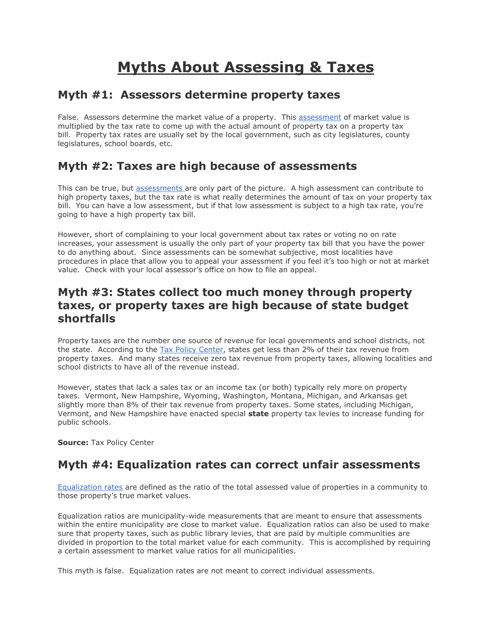# **Myths About Assessing & Taxes**

### **Myth #1: Assessors determine property taxes**

False. Assessors determine the market value of a property. This [assessment](http://taxes.about.com/od/statetaxes/a/property-tax-assessments.htm) of market value is multiplied by the tax rate to come up with the actual amount of property tax on a property tax bill. Property tax rates are usually set by the local government, such as city legislatures, county legislatures, school boards, etc.

## **Myth #2: Taxes are high because of assessments**

This can be true, but [assessments a](http://taxes.about.com/od/statetaxes/a/property-tax-assessments.htm)re only part of the picture. A high assessment can contribute to high property taxes, but the tax rate is what really determines the amount of tax on your property tax bill. You can have a low assessment, but if that low assessment is subject to a high tax rate, you're going to have a high property tax bill.

However, short of complaining to your local government about tax rates or voting no on rate increases, your assessment is usually the only part of your property tax bill that you have the power to do anything about. Since assessments can be somewhat subjective, most localities have procedures in place that allow you to appeal your assessment if you feel it's too high or not at market value. Check with your local assessor's office on how to file an appeal.

### **Myth #3: States collect too much money through property taxes, or property taxes are high because of state budget shortfalls**

Property taxes are the number one source of revenue for local governments and school districts, not the state. According to the [Tax Policy Center,](http://www.taxpolicycenter.org/aboutus/index.cfm) states get less than 2% of their tax revenue from property taxes. And many states receive zero tax revenue from property taxes, allowing localities and school districts to have all of the revenue instead.

However, states that lack a sales tax or an income tax (or both) typically rely more on property taxes. Vermont, New Hampshire, Wyoming, Washington, Montana, Michigan, and Arkansas get slightly more than 8% of their tax revenue from property taxes. Some states, including Michigan, Vermont, and New Hampshire have enacted special **state** property tax levies to increase funding for public schools.

**Source:** Tax Policy Center

### **Myth #4: Equalization rates can correct unfair assessments**

[Equalization rates](http://taxes.about.com/od/statetaxes/a/equalization-rate.htm) are defined as the ratio of the total assessed value of properties in a community to those property's true market values.

Equalization ratios are municipality-wide measurements that are meant to ensure that assessments within the entire municipality are close to market value. Equalization ratios can also be used to make sure that property taxes, such as public library levies, that are paid by multiple communities are divided in proportion to the total market value for each community. This is accomplished by requiring a certain assessment to market value ratios for all municipalities.

This myth is false. Equalization rates are not meant to correct individual assessments.